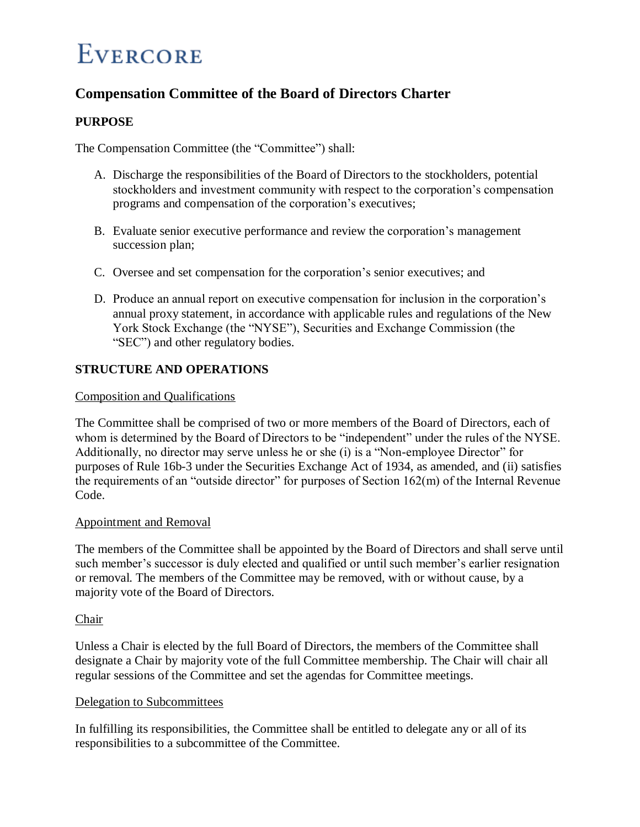# **EVERCORE**

# **Compensation Committee of the Board of Directors Charter**

# **PURPOSE**

The Compensation Committee (the "Committee") shall:

- A. Discharge the responsibilities of the Board of Directors to the stockholders, potential stockholders and investment community with respect to the corporation's compensation programs and compensation of the corporation's executives;
- B. Evaluate senior executive performance and review the corporation's management succession plan;
- C. Oversee and set compensation for the corporation's senior executives; and
- D. Produce an annual report on executive compensation for inclusion in the corporation's annual proxy statement, in accordance with applicable rules and regulations of the New York Stock Exchange (the "NYSE"), Securities and Exchange Commission (the "SEC") and other regulatory bodies.

# **STRUCTURE AND OPERATIONS**

# Composition and Qualifications

The Committee shall be comprised of two or more members of the Board of Directors, each of whom is determined by the Board of Directors to be "independent" under the rules of the NYSE. Additionally, no director may serve unless he or she (i) is a "Non-employee Director" for purposes of Rule 16b-3 under the Securities Exchange Act of 1934, as amended, and (ii) satisfies the requirements of an "outside director" for purposes of Section 162(m) of the Internal Revenue Code.

# Appointment and Removal

The members of the Committee shall be appointed by the Board of Directors and shall serve until such member's successor is duly elected and qualified or until such member's earlier resignation or removal. The members of the Committee may be removed, with or without cause, by a majority vote of the Board of Directors.

# Chair

Unless a Chair is elected by the full Board of Directors, the members of the Committee shall designate a Chair by majority vote of the full Committee membership. The Chair will chair all regular sessions of the Committee and set the agendas for Committee meetings.

# Delegation to Subcommittees

In fulfilling its responsibilities, the Committee shall be entitled to delegate any or all of its responsibilities to a subcommittee of the Committee.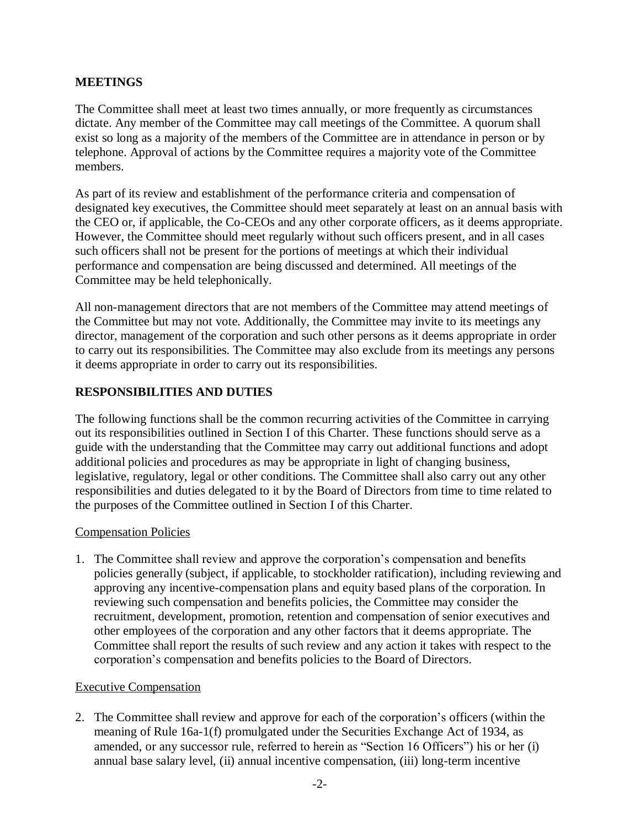# **MEETINGS**

The Committee shall meet at least two times annually, or more frequently as circumstances dictate. Any member of the Committee may call meetings of the Committee. A quorum shall exist so long as a majority of the members of the Committee are in attendance in person or by telephone. Approval of actions by the Committee requires a majority vote of the Committee members.

As part of its review and establishment of the performance criteria and compensation of designated key executives, the Committee should meet separately at least on an annual basis with the CEO or, if applicable, the Co-CEOs and any other corporate officers, as it deems appropriate. However, the Committee should meet regularly without such officers present, and in all cases such officers shall not be present for the portions of meetings at which their individual performance and compensation are being discussed and determined. All meetings of the Committee may be held telephonically.

All non-management directors that are not members of the Committee may attend meetings of the Committee but may not vote. Additionally, the Committee may invite to its meetings any director, management of the corporation and such other persons as it deems appropriate in order to carry out its responsibilities. The Committee may also exclude from its meetings any persons it deems appropriate in order to carry out its responsibilities.

# **RESPONSIBILITIES AND DUTIES**

The following functions shall be the common recurring activities of the Committee in carrying out its responsibilities outlined in Section I of this Charter. These functions should serve as a guide with the understanding that the Committee may carry out additional functions and adopt additional policies and procedures as may be appropriate in light of changing business, legislative, regulatory, legal or other conditions. The Committee shall also carry out any other responsibilities and duties delegated to it by the Board of Directors from time to time related to the purposes of the Committee outlined in Section I of this Charter.

# Compensation Policies

1. The Committee shall review and approve the corporation's compensation and benefits policies generally (subject, if applicable, to stockholder ratification), including reviewing and approving any incentive-compensation plans and equity based plans of the corporation. In reviewing such compensation and benefits policies, the Committee may consider the recruitment, development, promotion, retention and compensation of senior executives and other employees of the corporation and any other factors that it deems appropriate. The Committee shall report the results of such review and any action it takes with respect to the corporation's compensation and benefits policies to the Board of Directors.

# Executive Compensation

2. The Committee shall review and approve for each of the corporation's officers (within the meaning of Rule 16a-1(f) promulgated under the Securities Exchange Act of 1934, as amended, or any successor rule, referred to herein as "Section 16 Officers") his or her (i) annual base salary level, (ii) annual incentive compensation, (iii) long-term incentive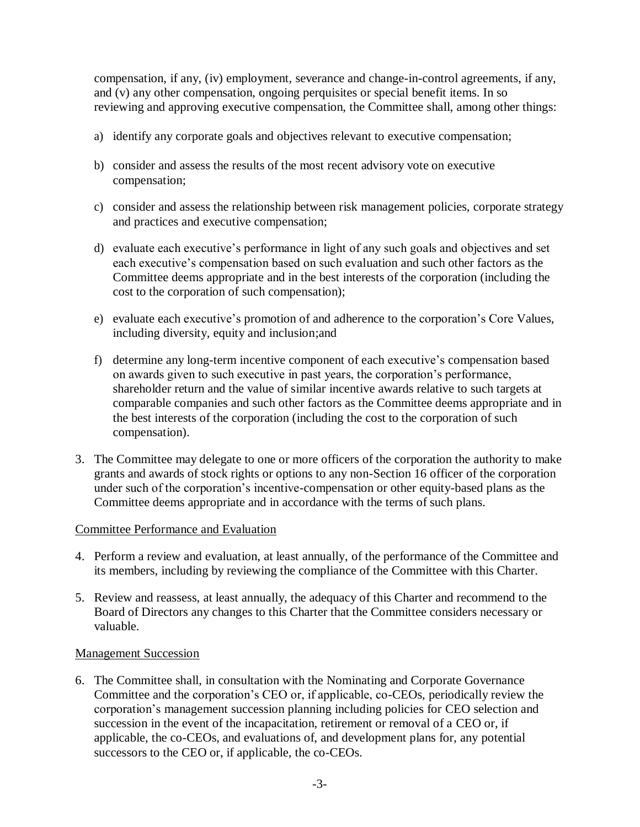compensation, if any, (iv) employment, severance and change-in-control agreements, if any, and (v) any other compensation, ongoing perquisites or special benefit items. In so reviewing and approving executive compensation, the Committee shall, among other things:

- a) identify any corporate goals and objectives relevant to executive compensation;
- b) consider and assess the results of the most recent advisory vote on executive compensation;
- c) consider and assess the relationship between risk management policies, corporate strategy and practices and executive compensation;
- d) evaluate each executive's performance in light of any such goals and objectives and set each executive's compensation based on such evaluation and such other factors as the Committee deems appropriate and in the best interests of the corporation (including the cost to the corporation of such compensation);
- e) evaluate each executive's promotion of and adherence to the corporation's Core Values, including diversity, equity and inclusion;and
- f) determine any long-term incentive component of each executive's compensation based on awards given to such executive in past years, the corporation's performance, shareholder return and the value of similar incentive awards relative to such targets at comparable companies and such other factors as the Committee deems appropriate and in the best interests of the corporation (including the cost to the corporation of such compensation).
- 3. The Committee may delegate to one or more officers of the corporation the authority to make grants and awards of stock rights or options to any non-Section 16 officer of the corporation under such of the corporation's incentive-compensation or other equity-based plans as the Committee deems appropriate and in accordance with the terms of such plans.

# Committee Performance and Evaluation

- 4. Perform a review and evaluation, at least annually, of the performance of the Committee and its members, including by reviewing the compliance of the Committee with this Charter.
- 5. Review and reassess, at least annually, the adequacy of this Charter and recommend to the Board of Directors any changes to this Charter that the Committee considers necessary or valuable.

# Management Succession

6. The Committee shall, in consultation with the Nominating and Corporate Governance Committee and the corporation's CEO or, if applicable, co-CEOs, periodically review the corporation's management succession planning including policies for CEO selection and succession in the event of the incapacitation, retirement or removal of a CEO or, if applicable, the co-CEOs, and evaluations of, and development plans for, any potential successors to the CEO or, if applicable, the co-CEOs.